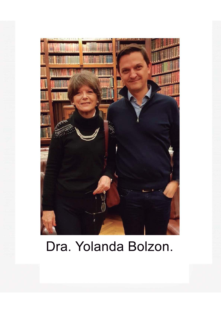

# Dra. Yolanda Bolzon.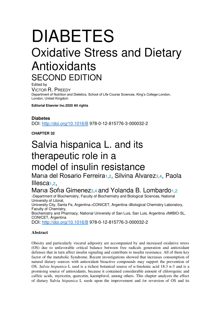## DIABETES Oxidative Stress and Dietary Antioxidants SECOND EDITION

Edited by VICTOR R. PREEDY Department of Nutrition and Dietetics, School of Life Course Sciences, King's College London, London, United Kingdom

**Editorial Elsevier Inc.2020 All rights** 

## **Diabetes**

DOI: http://doi.org/10.1016/B 978-0-12-815776-3-000032-2

**CHAPTER 32** 

## Salvia hispanica L. and its therapeutic role in a model of insulin resistance

Maria del Rosario Ferreira<sub>1,2</sub>, Silvina Alvarez<sub>3,4</sub>, Paola Illesca<sub>1,2</sub>

## Maria Sofia Gimenez<sub>3,4</sub> and Yolanda B. Lombardo<sub>1,2</sub>

<sup>1</sup>Department of Biochemistry, Faculty of Biochemistry and Biological Sciences, National University of Litoral, University City, Santa Fe, Argentina 2CONICET, Argentina 3Biological Chemistry Laboratory, Faculty of Chemistry, Biochemistry and Pharmacy, National University of San Luis, San Luis, Argentina 4IMIBIO-SL, CONICET, Argentina

DOI: http://doi.org/10.1016/B 978-0-12-815776-3-000032-2

### **Abstract**

Obesity and particularly visceral adiposity are accompanied by and increased oxidative stress (OS) due to unfavorable critical balance between free radicals generation and antioxidant defenses that in turn affect insulin signaling and contribute to insulin resistance. All of them key factor of the metabolic Syndrome. Recent investigations showed that increases consumption of natural dietary sources with antioxidant bioactive compounds may support the prevention of OS. *Salvia hispanica* L seed is a richest botanical source of α-linolenic acid 18:3 n-3 and is a promising source of antioxidants, because it contained considerable amount of chlorogenic and caffeic acids, myricetin, quercetin, kaempferol, among others. This chapter analyzes the effect of dietary Salvia *hispanica* L seeds upon the improvement and /or reversion of OS and its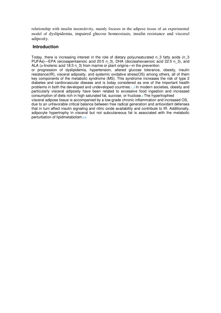relationship with insulin insensitivity, mainly focuses in the adipose tissue of an experimental model of dyslipidemia, impaired glucose homeostasis, insulin resistance and visceral adiposity.

### **Introduction**

Today, there is increasing interest in the role of dietary polyunsaturated n\_3 fatty acids (n\_3 PUFAs)—EPA (eicosapentaenoic acid 20:5 n\_3), DHA (docosahexaenoic acid 22:5 n\_3), and ALA ( $\alpha$ -linolenic acid 18:3 n 3) from marine or plant origins—in the prevention

or progression of dyslipidemia, hypertension, altered glucose tolerance, obesity, insulin resistance(IR), visceral adiposity, and systemic oxidative stress(OS) among others, all of them key components of the metabolic syndrome (MS). This syndrome increases the risk of type 2 diabetes and cardiovascular disease and is today considered as one of the important health problems in both the developed and undeveloped countries.1\_3 In modern societies, obesity and particularly visceral adiposity have been related to excessive food ingestion and increased consumption of diets rich in high saturated fat, sucrose, or fructose.4 The hypertrophied

visceral adipose tissue is accompanied by a low-grade chronic inflammation and increased OS, due to an unfavorable critical balance between free radical generation and antioxidant defenses that in turn affect insulin signaling and nitric oxide availability and contribute to IR. Additionally, adipocyte hypertrophy in visceral but not subcutaneous fat is associated with the metabolic perturbation of lipidmetabolism.5,6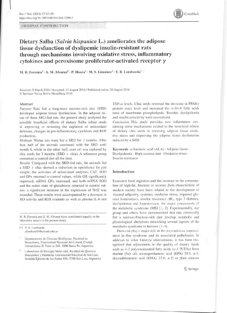ORIGINAL CONTRIBUTION



## Dietary Salba (Salvia hispanica L.) ameliorates the adipose tissue dysfunction of dyslipemic insulin-resistant rats through mechanisms involving oxidative stress, inflammatory cytokines and peroxisome proliferator-activated receptor  $\gamma$

M. R. Ferreira<sup>1</sup> · S. M. Alvarez<sup>2</sup> · P. Illesca<sup>1</sup> · M. S. Giménez<sup>2</sup> · Y. B. Lombardo<sup>1</sup>

Received: 8 March 2016 / Accepted: 13 August 2016 / Published online: 26 August 2016 © Springer-Verlag Berlin Heidelberg 2016

#### Abstract

Purpose Rats fed a long-term sucrose-rich diet (SRD) developed adipose tissue dysfunction. In the adipose tissue of these SRD-fed rats, the present study analyzed the possible beneficial effects of dietary Salba (chia) seeds in improving or reversing the depletion of antioxidant defenses, changes in pro-inflammatory cytokines and ROS production.

Methods Wistar rats were fed a SRD for 3 months. After that, half of the animals continued with the SRD until month 6, while in the other half, corn oil was replaced by chia seeds for  $3$  months (SRD + chia). A reference group consumed a control diet all the time.

Results Compared with the SRD-fed rats, the animals fed  $a$  SRD + chia showed a reduction in epididymal fat pad weight; the activities of antioxidant enzymes CAT, SOD and GPx returned to control values, while GR significantly improved; mRNA GPx increased, and both mRNA SOD and the redox state of glutathione returned to control values; a significant increase in the expression of Nrf2 was recorded. These results were accompanied by a decrease in XO activity and ROS contents as well as plasma IL-6 and

M. R. Ferreira and S. M. Alvarez have contributed equally to the laboratory assays in the present study.

M Y. B. Lombardo ylombard@fbcb.unl.edu.ar

Departamento de Ciencias Biológicas, Facultad de Bioquímica, Universidad Nacional del Litoral, Ciudad Universitaria El Pozo cc 242. 3000 Santa Fe, Argentina

Laboratorio de Biología Molecular, Facultad de Química, Bioquímica y Farmacia, Universidad Nacional de San Luis, Avenida Ejército de los Andes 950, 5700 San Luis, Argentina TNF- $\alpha$  levels. Chia seeds reversed the decrease in PPAR $\gamma$ protein mass level and increased the  $n-3/n-6$  fatty acids ratio of membrane phospholipids. Besides, dyslipidemia and insulin sensitivity were normalized.

Conclusion This study provides new information concerning some mechanisms related to the beneficial effects of dietary chia seeds in reversing adipose tissue oxidative stress and improving the adipose tissue dysfunction induced by a SRD.

Keywords  $\alpha$ -linolenic acid (ALA)  $\cdot$  Adipose tissue  $\cdot$ Dyslipidemia · High-sucrose diet · Oxidative stress · Insulin resistance

#### Introduction

Excessive food ingestion and the increase in the consumption of high-fat, fructose or sucrose diets characteristic of modern society have been related to the development of visceral adiposity, systemic oxidative stress, impaired glucose homeostasis, insulin resistance (IR), type 2 diabetes, dyslipidemia and hypertension, the major components of the metabolic syndrome (MS) [1, 2]. Experimentally, our group and others have demonstrated that rats chronically fed a sucrose-/fructose-rich diet develop metabolic and physiological alterations mimicking several aspects of the metabolic syndrome in humans [3-5].

Diets can play a major role in the prevention or improvement in this syndrome and its associated pathologies. In addition to other lifestyle interventions, it has been recognized that adjustments to the quality of dietary lipids such as  $n-3$  polyunsaturated fatty acids ( $n-3$  PUFAs) from marine [fish oil; eicosapentaenoic acid (EPA) 20:5. n-3; docosahexaenoic acid (DHA) 22:6,  $n-3$ ] or plant sources

2 Springer